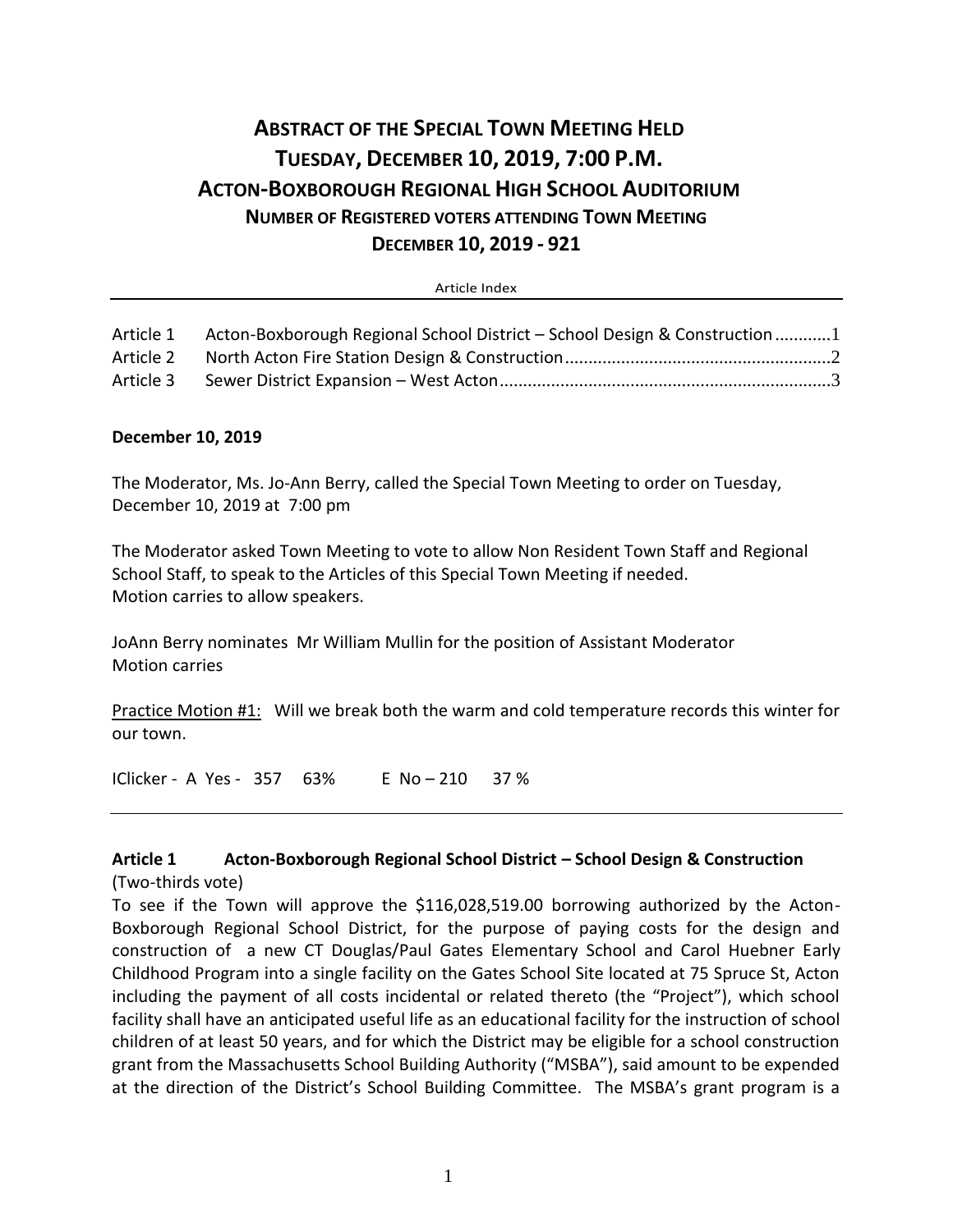# **ABSTRACT OF THE SPECIAL TOWN MEETING HELD TUESDAY, DECEMBER 10, 2019, 7:00 P.M. ACTON-BOXBOROUGH REGIONAL HIGH SCHOOL AUDITORIUM NUMBER OF REGISTERED VOTERS ATTENDING TOWN MEETING DECEMBER 10, 2019 - 921**

Article Index

| Article 1 | Acton-Boxborough Regional School District – School Design & Construction 1 |  |
|-----------|----------------------------------------------------------------------------|--|
| Article 2 |                                                                            |  |
| Article 3 |                                                                            |  |

#### <span id="page-0-0"></span>**December 10, 2019**

The Moderator, Ms. Jo-Ann Berry, called the Special Town Meeting to order on Tuesday, December 10, 2019 at 7:00 pm

The Moderator asked Town Meeting to vote to allow Non Resident Town Staff and Regional School Staff, to speak to the Articles of this Special Town Meeting if needed. Motion carries to allow speakers.

JoAnn Berry nominates Mr William Mullin for the position of Assistant Moderator Motion carries

Practice Motion #1: Will we break both the warm and cold temperature records this winter for our town.

IClicker - A Yes - 357 63% E No – 210 37 %

#### **Article 1 Acton-Boxborough Regional School District – School Design & Construction** (Two-thirds vote)

To see if the Town will approve the \$116,028,519.00 borrowing authorized by the Acton-Boxborough Regional School District, for the purpose of paying costs for the design and construction of a new CT Douglas/Paul Gates Elementary School and Carol Huebner Early Childhood Program into a single facility on the Gates School Site located at 75 Spruce St, Acton including the payment of all costs incidental or related thereto (the "Project"), which school facility shall have an anticipated useful life as an educational facility for the instruction of school children of at least 50 years, and for which the District may be eligible for a school construction grant from the Massachusetts School Building Authority ("MSBA"), said amount to be expended at the direction of the District's School Building Committee. The MSBA's grant program is a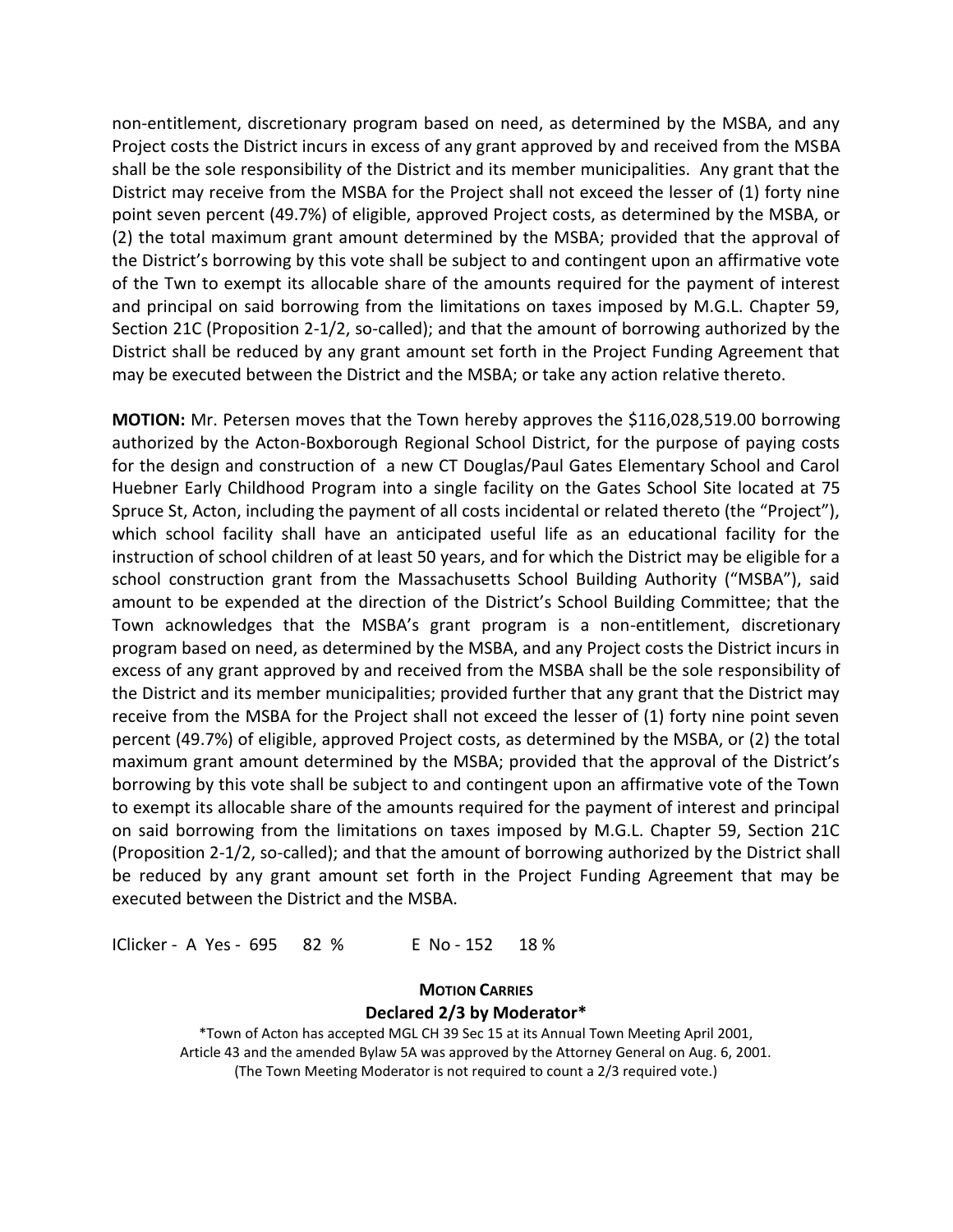non-entitlement, discretionary program based on need, as determined by the MSBA, and any Project costs the District incurs in excess of any grant approved by and received from the MSBA shall be the sole responsibility of the District and its member municipalities. Any grant that the District may receive from the MSBA for the Project shall not exceed the lesser of (1) forty nine point seven percent (49.7%) of eligible, approved Project costs, as determined by the MSBA, or (2) the total maximum grant amount determined by the MSBA; provided that the approval of the District's borrowing by this vote shall be subject to and contingent upon an affirmative vote of the Twn to exempt its allocable share of the amounts required for the payment of interest and principal on said borrowing from the limitations on taxes imposed by M.G.L. Chapter 59, Section 21C (Proposition 2-1/2, so-called); and that the amount of borrowing authorized by the District shall be reduced by any grant amount set forth in the Project Funding Agreement that may be executed between the District and the MSBA; or take any action relative thereto.

**MOTION:** Mr. Petersen moves that the Town hereby approves the \$116,028,519.00 borrowing authorized by the Acton-Boxborough Regional School District, for the purpose of paying costs for the design and construction of a new CT Douglas/Paul Gates Elementary School and Carol Huebner Early Childhood Program into a single facility on the Gates School Site located at 75 Spruce St, Acton, including the payment of all costs incidental or related thereto (the "Project"), which school facility shall have an anticipated useful life as an educational facility for the instruction of school children of at least 50 years, and for which the District may be eligible for a school construction grant from the Massachusetts School Building Authority ("MSBA"), said amount to be expended at the direction of the District's School Building Committee; that the Town acknowledges that the MSBA's grant program is a non-entitlement, discretionary program based on need, as determined by the MSBA, and any Project costs the District incurs in excess of any grant approved by and received from the MSBA shall be the sole responsibility of the District and its member municipalities; provided further that any grant that the District may receive from the MSBA for the Project shall not exceed the lesser of (1) forty nine point seven percent (49.7%) of eligible, approved Project costs, as determined by the MSBA, or (2) the total maximum grant amount determined by the MSBA; provided that the approval of the District's borrowing by this vote shall be subject to and contingent upon an affirmative vote of the Town to exempt its allocable share of the amounts required for the payment of interest and principal on said borrowing from the limitations on taxes imposed by M.G.L. Chapter 59, Section 21C (Proposition 2-1/2, so-called); and that the amount of borrowing authorized by the District shall be reduced by any grant amount set forth in the Project Funding Agreement that may be executed between the District and the MSBA.

<span id="page-1-0"></span>IClicker - A Yes - 695 82 % E No - 152 18 %

#### **MOTION CARRIES Declared 2/3 by Moderator\***

\*Town of Acton has accepted MGL CH 39 Sec 15 at its Annual Town Meeting April 2001, Article 43 and the amended Bylaw 5A was approved by the Attorney General on Aug. 6, 2001. (The Town Meeting Moderator is not required to count a 2/3 required vote.)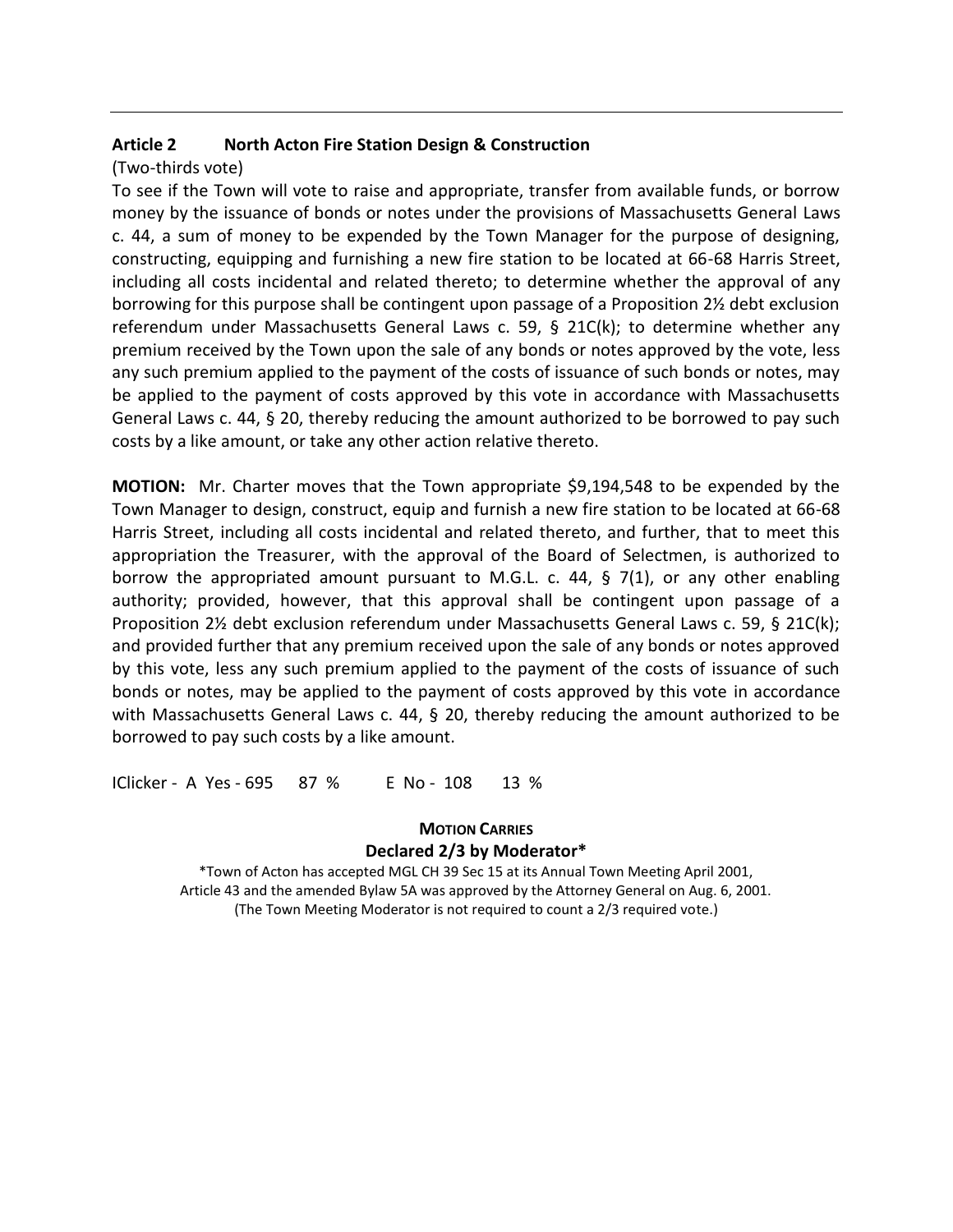## **Article 2 North Acton Fire Station Design & Construction**

(Two-thirds vote)

To see if the Town will vote to raise and appropriate, transfer from available funds, or borrow money by the issuance of bonds or notes under the provisions of Massachusetts General Laws c. 44, a sum of money to be expended by the Town Manager for the purpose of designing, constructing, equipping and furnishing a new fire station to be located at 66-68 Harris Street, including all costs incidental and related thereto; to determine whether the approval of any borrowing for this purpose shall be contingent upon passage of a Proposition 2½ debt exclusion referendum under Massachusetts General Laws c. 59, § 21C(k); to determine whether any premium received by the Town upon the sale of any bonds or notes approved by the vote, less any such premium applied to the payment of the costs of issuance of such bonds or notes, may be applied to the payment of costs approved by this vote in accordance with Massachusetts General Laws c. 44, § 20, thereby reducing the amount authorized to be borrowed to pay such costs by a like amount, or take any other action relative thereto.

**MOTION:** Mr. Charter moves that the Town appropriate \$9,194,548 to be expended by the Town Manager to design, construct, equip and furnish a new fire station to be located at 66-68 Harris Street, including all costs incidental and related thereto, and further, that to meet this appropriation the Treasurer, with the approval of the Board of Selectmen, is authorized to borrow the appropriated amount pursuant to M.G.L. c. 44,  $\S$  7(1), or any other enabling authority; provided, however, that this approval shall be contingent upon passage of a Proposition 2½ debt exclusion referendum under Massachusetts General Laws c. 59, § 21C(k); and provided further that any premium received upon the sale of any bonds or notes approved by this vote, less any such premium applied to the payment of the costs of issuance of such bonds or notes, may be applied to the payment of costs approved by this vote in accordance with Massachusetts General Laws c. 44, § 20, thereby reducing the amount authorized to be borrowed to pay such costs by a like amount.

<span id="page-2-0"></span>IClicker - A Yes - 695 87 % E No - 108 13 %

# **MOTION CARRIES Declared 2/3 by Moderator\***

\*Town of Acton has accepted MGL CH 39 Sec 15 at its Annual Town Meeting April 2001, Article 43 and the amended Bylaw 5A was approved by the Attorney General on Aug. 6, 2001. (The Town Meeting Moderator is not required to count a 2/3 required vote.)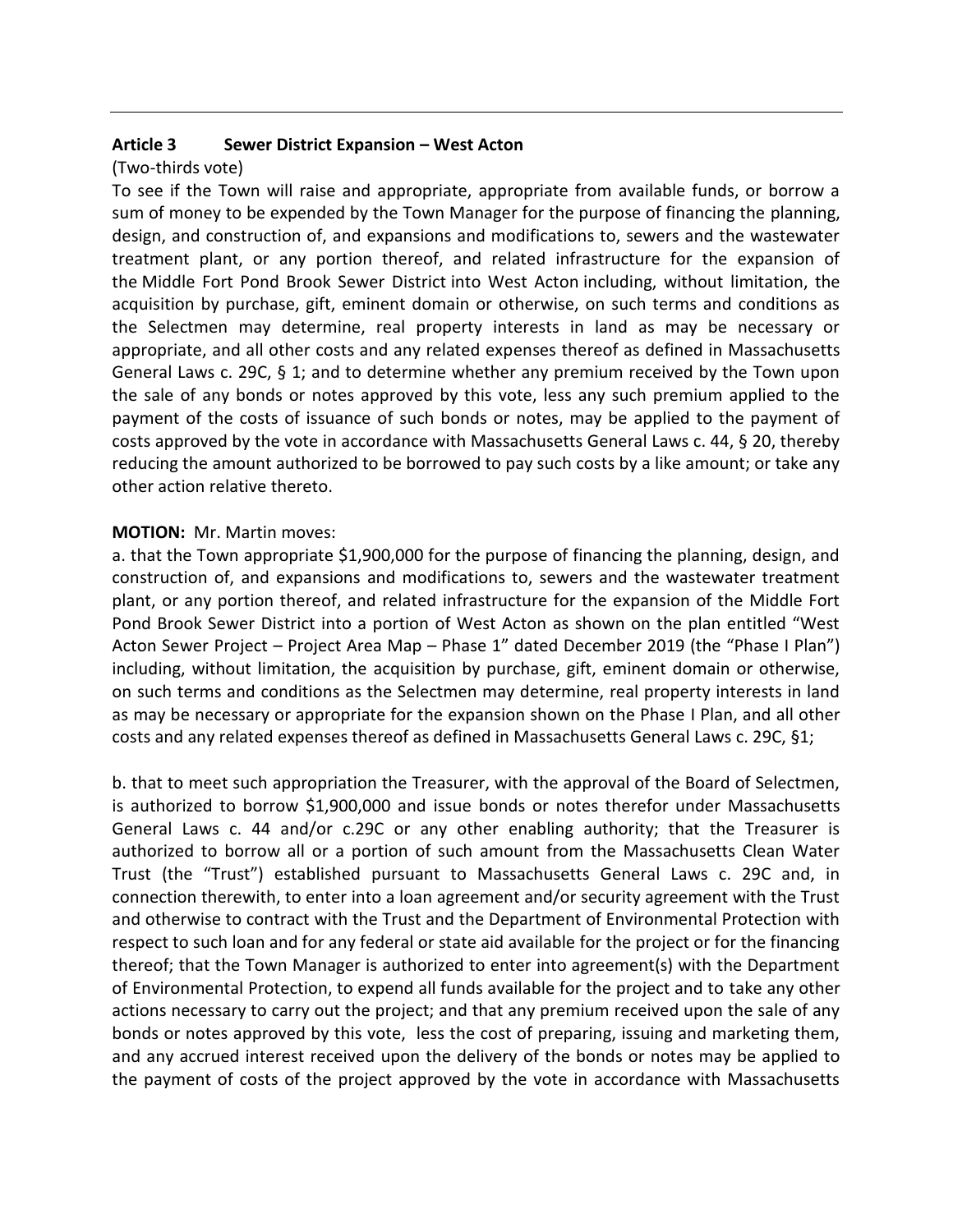## **Article 3 Sewer District Expansion – West Acton**

## (Two-thirds vote)

To see if the Town will raise and appropriate, appropriate from available funds, or borrow a sum of money to be expended by the Town Manager for the purpose of financing the planning, design, and construction of, and expansions and modifications to, sewers and the wastewater treatment plant, or any portion thereof, and related infrastructure for the expansion of the Middle Fort Pond Brook Sewer District into West Acton including, without limitation, the acquisition by purchase, gift, eminent domain or otherwise, on such terms and conditions as the Selectmen may determine, real property interests in land as may be necessary or appropriate, and all other costs and any related expenses thereof as defined in Massachusetts General Laws c. 29C, § 1; and to determine whether any premium received by the Town upon the sale of any bonds or notes approved by this vote, less any such premium applied to the payment of the costs of issuance of such bonds or notes, may be applied to the payment of costs approved by the vote in accordance with Massachusetts General Laws c. 44, § 20, thereby reducing the amount authorized to be borrowed to pay such costs by a like amount; or take any other action relative thereto.

#### **MOTION:** Mr. Martin moves:

a. that the Town appropriate \$1,900,000 for the purpose of financing the planning, design, and construction of, and expansions and modifications to, sewers and the wastewater treatment plant, or any portion thereof, and related infrastructure for the expansion of the Middle Fort Pond Brook Sewer District into a portion of West Acton as shown on the plan entitled "West Acton Sewer Project – Project Area Map – Phase 1" dated December 2019 (the "Phase I Plan") including, without limitation, the acquisition by purchase, gift, eminent domain or otherwise, on such terms and conditions as the Selectmen may determine, real property interests in land as may be necessary or appropriate for the expansion shown on the Phase I Plan, and all other costs and any related expenses thereof as defined in Massachusetts General Laws c. 29C, §1;

b. that to meet such appropriation the Treasurer, with the approval of the Board of Selectmen, is authorized to borrow \$1,900,000 and issue bonds or notes therefor under Massachusetts General Laws c. 44 and/or c.29C or any other enabling authority; that the Treasurer is authorized to borrow all or a portion of such amount from the Massachusetts Clean Water Trust (the "Trust") established pursuant to Massachusetts General Laws c. 29C and, in connection therewith, to enter into a loan agreement and/or security agreement with the Trust and otherwise to contract with the Trust and the Department of Environmental Protection with respect to such loan and for any federal or state aid available for the project or for the financing thereof; that the Town Manager is authorized to enter into agreement(s) with the Department of Environmental Protection, to expend all funds available for the project and to take any other actions necessary to carry out the project; and that any premium received upon the sale of any bonds or notes approved by this vote, less the cost of preparing, issuing and marketing them, and any accrued interest received upon the delivery of the bonds or notes may be applied to the payment of costs of the project approved by the vote in accordance with Massachusetts